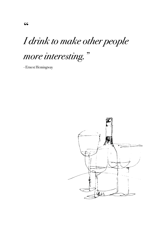# *I drink to make other people*

# *more interesting."*

- Ernest Hemingway

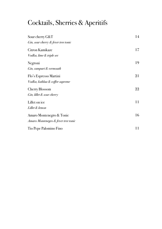# Cocktails, Sherries & Aperitifs

| Sour cherry G&T                     | 14 |
|-------------------------------------|----|
| Gin, sour cherry & fever tree tonic |    |
| Citron Kamikaze                     | 17 |
| Vodka, lime & triple sec            |    |
| Negroni                             | 19 |
| Gin, campari & vermouth             |    |
| Flo's Espresso Martini              | 21 |
| Vodka, kahlua & coffee supreme      |    |
| Cherry Blossom                      | 22 |
| Gin, lillet & sour cherry           |    |
| Lillet on ice                       | 11 |
| Lillet & lemon                      |    |
| Amaro Montenegro & Tonic            | 16 |
| Amaro Montenegro & fever tree tonic |    |
| Tio Pepe Palomino Fino              | 11 |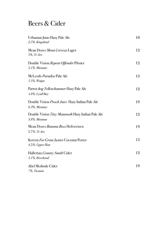#### Beers & Cider

| Urbanaut Juno Hazy Pale Ale<br>2.5%, Kingsland                         | 10 |
|------------------------------------------------------------------------|----|
| Mean Doses Mean Cerveza Lager<br>5%, Te Aro                            | 12 |
| Double Vision Repeat Offender Pilsner<br>5.1%, Miramar                 | 12 |
| McLeods Paradise Pale Ale<br>5.5%, Waipu                               | 13 |
| Parrot dog Yellowhammer Hazy Pale Ale<br>4.8%, Lyall Bay               | 12 |
| Double Vision <i>Pooch Juice</i> Hazy Indian Pale Ale<br>6.3%, Miramar | 19 |
| Double Vision Tiny Mammoth Hazy Indian Pale Ale<br>3.8%, Miramar       | 12 |
| Mean Doses <i>Banana Boss</i> Hefeweizen<br>5.7%, Te Aro               | 19 |
| Kereru For Great Justice Coconut Porter<br>4.5%, Upper Hutt            | 13 |
| Hallertau <i>Granny Smith</i> Cider<br>5.1%, Riverhead                 | 12 |
| Abel Methode Cider<br>7%, Tasman                                       | 19 |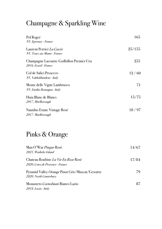# Champagne & Sparkling Wine

| Pol Roger<br>NV, Epernay - France                                 | 165    |
|-------------------------------------------------------------------|--------|
| Laurent Perrier <i>La Cuvée</i><br>NV, Tours sur Mame - France    | 25/155 |
| Champagne Lacourte-Godbillon Premier Cru<br>2016, Ecueil - France | 255    |
| Col de Salici Prosecco<br>NV, Valdobbiadene - Italy               | 12/60  |
| Monte delle Vigne Lambrusco<br>NV, Emilia-Romagna - Italy         | 71     |
| Huia Blanc de Blancs<br>2017, Marlborough                         | 15/75  |
| Nautilus Estate Vintage Rosé<br>2017, Marlborough                 | 18/97  |

# Pinks & Orange

| Man O'War <i>Pinque</i> Rosé                    | 14/67 |
|-------------------------------------------------|-------|
| 2021, Waiheke Island                            |       |
| Chateau Roubine <i>La Vie En Rose</i> Rosé      | 17/84 |
| 2020, Cotes de Provence - France                |       |
| Pyramid Valley Orange Pinot Gris/Muscat/Gewurtz | 79    |
| 2020, North Canterbury                          |       |
| Monastero <i>Coenobium</i> Bianco Lazio         | 87    |
| 2018, Lazio - Italy                             |       |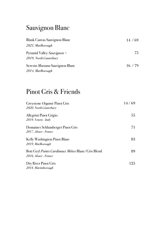#### Sauvignon Blanc

| Blank Canvas Sauvignon Blanc                         | 14/69 |
|------------------------------------------------------|-------|
| 2021, Marlborough                                    |       |
| Pyramid Valley Sauvignon +<br>2019, North Canterbury | 75    |
| Seresin <i>Marama</i> Sauvignon Blanc                | 16/79 |
| 2014, Marlborough                                    |       |

#### Pinot Gris & Friends

| Greystone Organic Pinot Gris<br>2020, North Canterbury                      | 14/69 |
|-----------------------------------------------------------------------------|-------|
| Allegrini Pinot Grigio<br>2019, Veneto - Italy                              | 55    |
| Domaines Schlumberger Pinot Gris<br>2017, Alsace - France                   | 71    |
| Kelly Washington Pinot Blanc<br>2019, Marlborough                           | 83    |
| Bott Geyl Points Cardinaux Métiss Blanc/Gris Blend<br>2016, Alsace - France | 89    |
| Dry River Pinot Gris<br>2018, Martinborough                                 | 125   |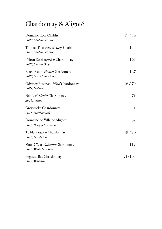## Chardonnay & Aligoté

| Domaine Race Chablis<br>2020, Chablis - France                       | 17/84  |
|----------------------------------------------------------------------|--------|
| Thomas Pico Vent d'Ange Chablis<br>2017, Chablis - France            | 155    |
| Felton Road <i>Block 6</i> Chardonnay<br>2020, Central Otago         | 143    |
| <b>Black Estate <i>Home</i></b> Chardonnay<br>2020, North Canterbury | 147    |
| Odyssey Reserve - <i>Illiad</i> Chardonnay<br>2021, Gisborne         | 16/79  |
| Neudorf Tiritiri Chardonnay<br>2019, Nelson                          | 71     |
| Greywacke Chardonnay<br>2018, Marlborough                            | 91     |
| Domaine de Villaine Aligoté<br>2019, Burgundy - France               | 87     |
| Te Mata Elston Chardonnay<br>2019, Hawke's Bay                       | 18/90  |
| Man O War <i>Valhalla</i> Chardonnay<br>2019, Waiheke Island         | 117    |
| Pegasus Bay Chardonnay<br>2019, Waipara                              | 21/105 |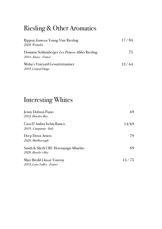## Riesling & Other Aromatics

| Rippon <i>Jeunesse</i> Young Vine Riesling<br>2020, Wanaka                      | 17/84 |  |
|---------------------------------------------------------------------------------|-------|--|
| Domaine Schlumberger <i>Les Princes Abbés</i> Riesling<br>2014, Alsace - France | 75    |  |
| Misha's Vineyard Gewurtztraminer<br>2019, Central Otago                         | 13/64 |  |

#### Interesting Whites

| Jenny Dobson Fiano<br>2018, Hawkes Bay                            | 69    |
|-------------------------------------------------------------------|-------|
| Casa D'Ambra Ischia Bianco<br>2019, Campania - Italy              | 14/69 |
| Deep Down Arneis<br>2020, Marlborough                             | 79    |
| Smith & Sheth CRU Heretaunga Albariño<br>2020, Hawke's Bay        | 69    |
| Marc Bredif <i>Classic</i> Vouvray<br>2019, Loire Valley - France | 15/75 |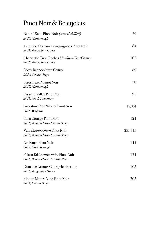## Pinot Noir & Beaujolais

| Natural State Pinot Noir ( <i>served chilled)</i><br>2020, Marlborough         | 79     |
|--------------------------------------------------------------------------------|--------|
| Ambroise Coteaux Bourguignons Pinot Noir<br>2019, Beaujolais - France          | 84     |
| Chermette Trois Roches Moulin-á-Vent Gamay<br>2018, Beaujolais - France        | 105    |
| Dicey Bannockburn Gamay<br>2020, Central Otago                                 | 89     |
| Seresin <i>Leah</i> Pinot Noir<br>2017, Marlborough                            | 70     |
| <b>Pyramid Valley Pinot Noir</b><br>2019, North Canterbury                     | 95     |
| Greystone Nor'Wester Pinot Noir<br>2018, Waipara                               | 17/84  |
| <b>Burn Cottage Pinot Noir</b><br>2018, Bannockburn - Central Otago            | 121    |
| Valli Bannockburn Pinot Noir<br>2019, Bannockburn - Central Otago              | 23/115 |
| Ata Rangi Pinot Noir<br>2017, Martinborough                                    | 147    |
| Felton Rd <i>Cornish Point</i> Pinot Noir<br>2016, Bannockburn - Central Otago | 171    |
| Domaine Arnoux Chorey-les-Beaune<br>2016, Burgundy - France                    | 105    |
| Rippon Mature Vine Pinot Noir<br>2012, Central Otago                           | 205    |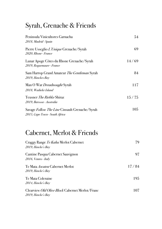#### Syrah, Grenache & Friends

| Peninsula Vinicultores Garnacha<br>2018, Madrid - Spain                          | 54    |
|----------------------------------------------------------------------------------|-------|
| Pierre Usseglio L'Unique Grenache/Syrah<br>2020, Rhone - France                  | 69    |
| Lunar Apoge Côtes du Rhone Grenache/Syrah<br>2019, Roquemaure - France           | 14/69 |
| Sam Harrop Grand Amateur The Gentleman Syrah<br>2019, Hawkes Bay                 | 84    |
| Man O War <i>Dreadnought</i> Syrah<br>2018, Waiheke Island                       | 117   |
| Teusner <i>The Riebke</i> Shiraz<br>2019, Barossa - Australia                    | 15/75 |
| Savage Follow The Line Cinsault Grenache/Syrah<br>2015, Cape Town - South Africa | 105   |

#### Cabernet, Merlot & Friends

| Craggy Range Te Kahu Merlot Cabernet<br>2019, Hawke's Bay                   | 79    |
|-----------------------------------------------------------------------------|-------|
| Cantine Pasqua Cabernet Sauvignon<br>2016, Venteo - Italy                   | 97    |
| Te Mata <i>Awatea</i> Cabernet Merlot<br>2019, Hawke's Bay                  | 17/84 |
| Te Mata Coleraine<br>2014, Hawke's Bay                                      | 195   |
| Clearview <i>Old Olive Block</i> Cabernet Merlot/Franc<br>2019, Hawke's Bay | 107   |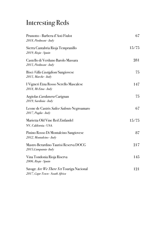# Interesting Reds

| Prunotto - Barbera d'Asti Fiulot<br>2018, Piedmont - Italy                        | 67    |
|-----------------------------------------------------------------------------------|-------|
| Sierra Cantabria Rioja Tempranillo<br>2019, Rioja - Spain                         | 15/75 |
| Castello di Verduno Barolo Massara<br>2015, Piedmont - Italy                      | 281   |
| Bisci Villa Castiglioni Sangiovese<br>2015, Marche - Italy                        | 75    |
| I Vigneri Etna Rosso Nerello Mascalese<br>2018, Mt Etna - Italy                   | 147   |
| Argiolas Cardanera Carignan<br>2019, Sardinia - Italy                             | 75    |
| Leone de Castris Salice Salento Negroamaro<br>2017, Puglia - Italy                | 67    |
| Marietta Old Vine Red Zinfandel<br>NV, California - USA                           | 15/75 |
| Pinino Rosso Di Montalcino Sangiovese<br>2012, Montalcino - Italy                 | 87    |
| Mastro Berardino Taurisi Reserva DOCG<br>2015, Campania-Italy                     | 217   |
| Vina Tondonia Rioja Riserva<br>2006, Rioja - Spain                                | 145   |
| Savage <i>Are We There Yet</i> Touriga Nacional<br>2017, Cape Town - South Africa | 121   |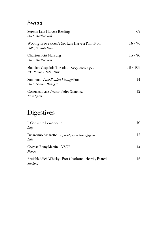#### Sweet

| 2018, Marlborough           | Seresin Late Harvest Riesling                            | 69     |
|-----------------------------|----------------------------------------------------------|--------|
| 2020, Central Otago         | Wooing Tree <i>Tickled Pink</i> Late Harvest Pinot Noir  | 16/96  |
| 2017, Marlborough           | <b>Churton Petit Manseng</b>                             | 15/90  |
| NV - Breganze Hills - Italy | Maculan Vespaiola Torcolato <i>honey, vanilla, spice</i> | 18/108 |
| 2015, Oporto - Portugal     | Sandeman Late Bottled Vintage Port                       | 14     |
| Jerez, Spain                | Gonzales Byass Nectar Pedro Ximenez                      | 12     |

#### **Digestives**

| Il Convento Lemoncello<br>Italy                                           | 10 |
|---------------------------------------------------------------------------|----|
| Disaronno Amaretto - especially good in an affogato<br>Italy              | 12 |
| Cognac Remy Martin - VSOP<br>France                                       | 14 |
| Bruichladdich Whisky - Port Charlotte - Heavily Peated<br><b>Scotland</b> | 16 |